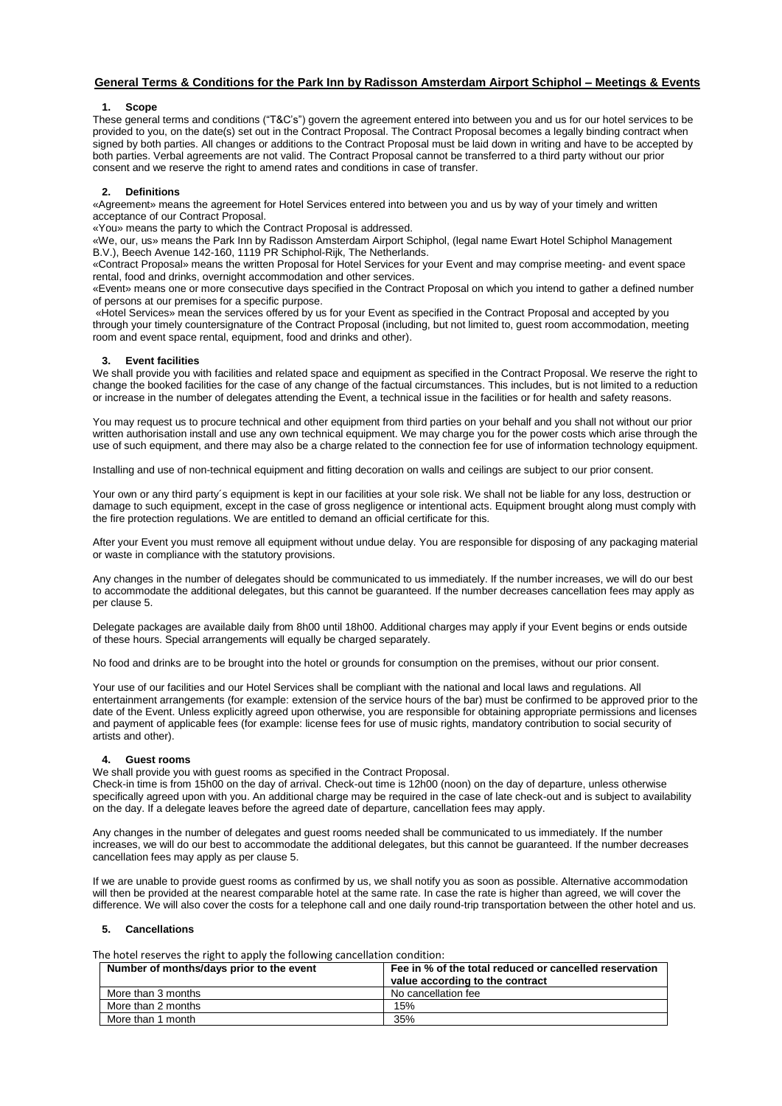# **General Terms & Conditions for the Park Inn by Radisson Amsterdam Airport Schiphol – Meetings & Events**

#### **1. Scope**

These general terms and conditions ("T&C's") govern the agreement entered into between you and us for our hotel services to be provided to you, on the date(s) set out in the Contract Proposal. The Contract Proposal becomes a legally binding contract when signed by both parties. All changes or additions to the Contract Proposal must be laid down in writing and have to be accepted by both parties. Verbal agreements are not valid. The Contract Proposal cannot be transferred to a third party without our prior consent and we reserve the right to amend rates and conditions in case of transfer.

## **2. Definitions**

«Agreement» means the agreement for Hotel Services entered into between you and us by way of your timely and written acceptance of our Contract Proposal.

«You» means the party to which the Contract Proposal is addressed.

«We, our, us» means the Park Inn by Radisson Amsterdam Airport Schiphol, (legal name Ewart Hotel Schiphol Management B.V.), Beech Avenue 142-160, 1119 PR Schiphol-Rijk, The Netherlands.

«Contract Proposal» means the written Proposal for Hotel Services for your Event and may comprise meeting- and event space rental, food and drinks, overnight accommodation and other services.

«Event» means one or more consecutive days specified in the Contract Proposal on which you intend to gather a defined number of persons at our premises for a specific purpose.

«Hotel Services» mean the services offered by us for your Event as specified in the Contract Proposal and accepted by you through your timely countersignature of the Contract Proposal (including, but not limited to, guest room accommodation, meeting room and event space rental, equipment, food and drinks and other).

## **3. Event facilities**

We shall provide you with facilities and related space and equipment as specified in the Contract Proposal. We reserve the right to change the booked facilities for the case of any change of the factual circumstances. This includes, but is not limited to a reduction or increase in the number of delegates attending the Event, a technical issue in the facilities or for health and safety reasons.

You may request us to procure technical and other equipment from third parties on your behalf and you shall not without our prior written authorisation install and use any own technical equipment. We may charge you for the power costs which arise through the use of such equipment, and there may also be a charge related to the connection fee for use of information technology equipment.

Installing and use of non-technical equipment and fitting decoration on walls and ceilings are subject to our prior consent.

Your own or any third party´s equipment is kept in our facilities at your sole risk. We shall not be liable for any loss, destruction or damage to such equipment, except in the case of gross negligence or intentional acts. Equipment brought along must comply with the fire protection regulations. We are entitled to demand an official certificate for this.

After your Event you must remove all equipment without undue delay. You are responsible for disposing of any packaging material or waste in compliance with the statutory provisions.

Any changes in the number of delegates should be communicated to us immediately. If the number increases, we will do our best to accommodate the additional delegates, but this cannot be guaranteed. If the number decreases cancellation fees may apply as per clause 5.

Delegate packages are available daily from 8h00 until 18h00. Additional charges may apply if your Event begins or ends outside of these hours. Special arrangements will equally be charged separately.

No food and drinks are to be brought into the hotel or grounds for consumption on the premises, without our prior consent.

Your use of our facilities and our Hotel Services shall be compliant with the national and local laws and regulations. All entertainment arrangements (for example: extension of the service hours of the bar) must be confirmed to be approved prior to the date of the Event. Unless explicitly agreed upon otherwise, you are responsible for obtaining appropriate permissions and licenses and payment of applicable fees (for example: license fees for use of music rights, mandatory contribution to social security of artists and other).

## **4. Guest rooms**

We shall provide you with guest rooms as specified in the Contract Proposal.

Check-in time is from 15h00 on the day of arrival. Check-out time is 12h00 (noon) on the day of departure, unless otherwise specifically agreed upon with you. An additional charge may be required in the case of late check-out and is subject to availability on the day. If a delegate leaves before the agreed date of departure, cancellation fees may apply.

Any changes in the number of delegates and guest rooms needed shall be communicated to us immediately. If the number increases, we will do our best to accommodate the additional delegates, but this cannot be guaranteed. If the number decreases cancellation fees may apply as per clause 5.

If we are unable to provide guest rooms as confirmed by us, we shall notify you as soon as possible. Alternative accommodation will then be provided at the nearest comparable hotel at the same rate. In case the rate is higher than agreed, we will cover the difference. We will also cover the costs for a telephone call and one daily round-trip transportation between the other hotel and us.

## **5. Cancellations**

The hotel reserves the right to apply the following cancellation condition:

| Number of months/days prior to the event | Fee in % of the total reduced or cancelled reservation<br>value according to the contract |
|------------------------------------------|-------------------------------------------------------------------------------------------|
| More than 3 months                       | No cancellation fee                                                                       |
| More than 2 months                       | 15%                                                                                       |
| More than 1 month                        | 35%                                                                                       |